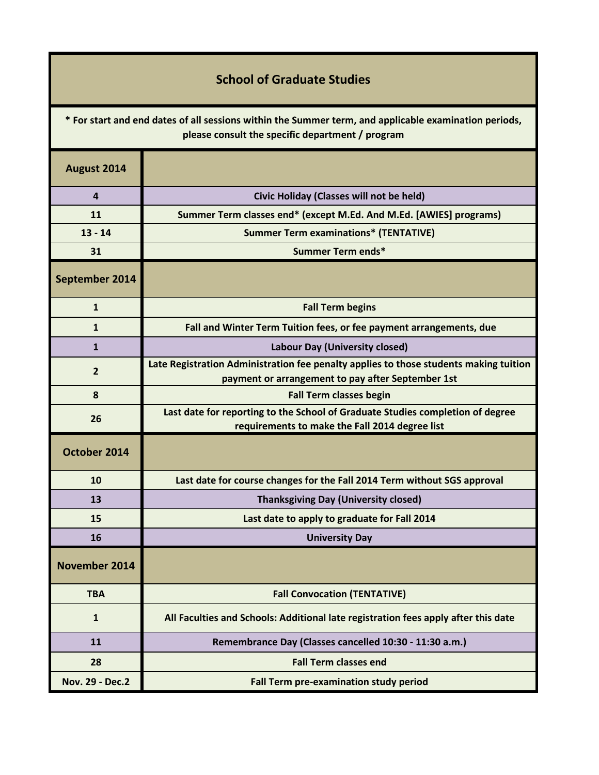## **School of Graduate Studies**

**\* For start and end dates of all sessions within the Summer term, and applicable examination periods, please consult the specific department / program**

| August 2014            |                                                                                                                                            |
|------------------------|--------------------------------------------------------------------------------------------------------------------------------------------|
| $\overline{a}$         | Civic Holiday (Classes will not be held)                                                                                                   |
| 11                     | Summer Term classes end* (except M.Ed. And M.Ed. [AWIES] programs)                                                                         |
| $13 - 14$              | <b>Summer Term examinations* (TENTATIVE)</b>                                                                                               |
| 31                     | Summer Term ends*                                                                                                                          |
| September 2014         |                                                                                                                                            |
| $\mathbf{1}$           | <b>Fall Term begins</b>                                                                                                                    |
| $\mathbf{1}$           | Fall and Winter Term Tuition fees, or fee payment arrangements, due                                                                        |
| $\mathbf{1}$           | Labour Day (University closed)                                                                                                             |
| $\overline{2}$         | Late Registration Administration fee penalty applies to those students making tuition<br>payment or arrangement to pay after September 1st |
| 8                      | <b>Fall Term classes begin</b>                                                                                                             |
| 26                     | Last date for reporting to the School of Graduate Studies completion of degree<br>requirements to make the Fall 2014 degree list           |
| October 2014           |                                                                                                                                            |
| 10                     | Last date for course changes for the Fall 2014 Term without SGS approval                                                                   |
| 13                     | <b>Thanksgiving Day (University closed)</b>                                                                                                |
| 15                     | Last date to apply to graduate for Fall 2014                                                                                               |
| 16                     | <b>University Day</b>                                                                                                                      |
| <b>November 2014</b>   |                                                                                                                                            |
| <b>TBA</b>             | <b>Fall Convocation (TENTATIVE)</b>                                                                                                        |
| $\mathbf{1}$           | All Faculties and Schools: Additional late registration fees apply after this date                                                         |
| 11                     | Remembrance Day (Classes cancelled 10:30 - 11:30 a.m.)                                                                                     |
| 28                     | <b>Fall Term classes end</b>                                                                                                               |
| <b>Nov. 29 - Dec.2</b> | Fall Term pre-examination study period                                                                                                     |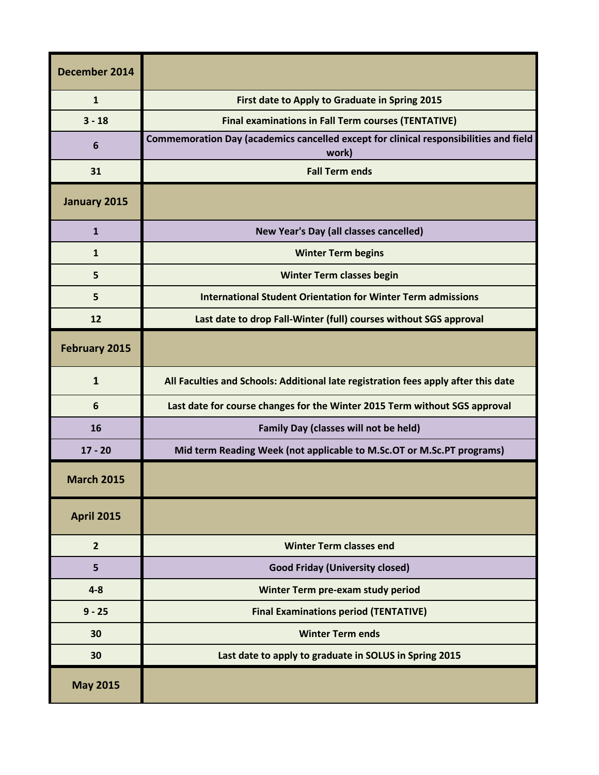| December 2014     |                                                                                                |
|-------------------|------------------------------------------------------------------------------------------------|
| $\mathbf{1}$      | First date to Apply to Graduate in Spring 2015                                                 |
| $3 - 18$          | <b>Final examinations in Fall Term courses (TENTATIVE)</b>                                     |
| 6                 | Commemoration Day (academics cancelled except for clinical responsibilities and field<br>work) |
| 31                | <b>Fall Term ends</b>                                                                          |
| January 2015      |                                                                                                |
| $\mathbf{1}$      | New Year's Day (all classes cancelled)                                                         |
| $\mathbf{1}$      | <b>Winter Term begins</b>                                                                      |
| 5                 | <b>Winter Term classes begin</b>                                                               |
| 5                 | <b>International Student Orientation for Winter Term admissions</b>                            |
| 12                | Last date to drop Fall-Winter (full) courses without SGS approval                              |
| February 2015     |                                                                                                |
| $\mathbf{1}$      | All Faculties and Schools: Additional late registration fees apply after this date             |
| 6                 | Last date for course changes for the Winter 2015 Term without SGS approval                     |
| 16                | Family Day (classes will not be held)                                                          |
| $17 - 20$         | Mid term Reading Week (not applicable to M.Sc.OT or M.Sc.PT programs)                          |
| <b>March 2015</b> |                                                                                                |
| <b>April 2015</b> |                                                                                                |
| $\overline{2}$    | <b>Winter Term classes end</b>                                                                 |
| 5                 | <b>Good Friday (University closed)</b>                                                         |
| $4 - 8$           | Winter Term pre-exam study period                                                              |
| $9 - 25$          | <b>Final Examinations period (TENTATIVE)</b>                                                   |
| 30                | <b>Winter Term ends</b>                                                                        |
| 30                | Last date to apply to graduate in SOLUS in Spring 2015                                         |
| <b>May 2015</b>   |                                                                                                |